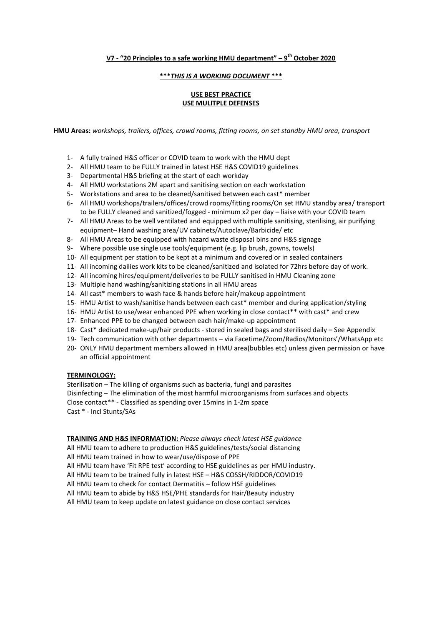### **V7 - "20 Principles to a safe working HMU department" – 9 th October 2020**

#### **\*\*\****THIS IS A WORKING DOCUMENT* **\*\*\***

#### **USE BEST PRACTICE USE MULITPLE DEFENSES**

**HMU Areas:** *workshops, trailers, offices, crowd rooms, fitting rooms, on set standby HMU area, transport*

- 1- A fully trained H&S officer or COVID team to work with the HMU dept
- 2- All HMU team to be FULLY trained in latest HSE H&S COVID19 guidelines
- 3- Departmental H&S briefing at the start of each workday
- 4- All HMU workstations 2M apart and sanitising section on each workstation
- 5- Workstations and area to be cleaned/sanitised between each cast\* member
- 6- All HMU workshops/trailers/offices/crowd rooms/fitting rooms/On set HMU standby area/ transport to be FULLY cleaned and sanitized/fogged - minimum x2 per day – liaise with your COVID team
- 7- All HMU Areas to be well ventilated and equipped with multiple sanitising, sterilising, air purifying equipment– Hand washing area/UV cabinets/Autoclave/Barbicide/ etc
- 8- All HMU Areas to be equipped with hazard waste disposal bins and H&S signage
- 9- Where possible use single use tools/equipment (e.g. lip brush, gowns, towels)
- 10- All equipment per station to be kept at a minimum and covered or in sealed containers
- 11- All incoming dailies work kits to be cleaned/sanitized and isolated for 72hrs before day of work.
- 12- All incoming hires/equipment/deliveries to be FULLY sanitised in HMU Cleaning zone
- 13- Multiple hand washing/sanitizing stations in all HMU areas
- 14- All cast\* members to wash face & hands before hair/makeup appointment
- 15- HMU Artist to wash/sanitise hands between each cast\* member and during application/styling
- 16- HMU Artist to use/wear enhanced PPE when working in close contact\*\* with cast\* and crew
- 17- Enhanced PPE to be changed between each hair/make-up appointment
- 18- Cast\* dedicated make-up/hair products stored in sealed bags and sterilised daily See Appendix
- 19- Tech communication with other departments via Facetime/Zoom/Radios/Monitors'/WhatsApp etc
- 20- ONLY HMU department members allowed in HMU area(bubbles etc) unless given permission or have an official appointment

#### **TERMINOLOGY:**

 Sterilisation – The killing of organisms such as bacteria, fungi and parasites Disinfecting – The elimination of the most harmful microorganisms from surfaces and objects Close contact\*\* - Classified as spending over 15mins in 1-2m space Cast \* - Incl Stunts/SAs

**TRAINING AND H&S INFORMATION:** *Please always check latest HSE guidance*

All HMU team to adhere to production H&S guidelines/tests/social distancing All HMU team trained in how to wear/use/dispose of PPE All HMU team have 'Fit RPE test' according to HSE guidelines as per HMU industry. All HMU team to be trained fully in latest HSE – H&S COSSH/RIDDOR/COVID19 All HMU team to check for contact Dermatitis – follow HSE guidelines All HMU team to abide by H&S HSE/PHE standards for Hair/Beauty industry All HMU team to keep update on latest guidance on close contact services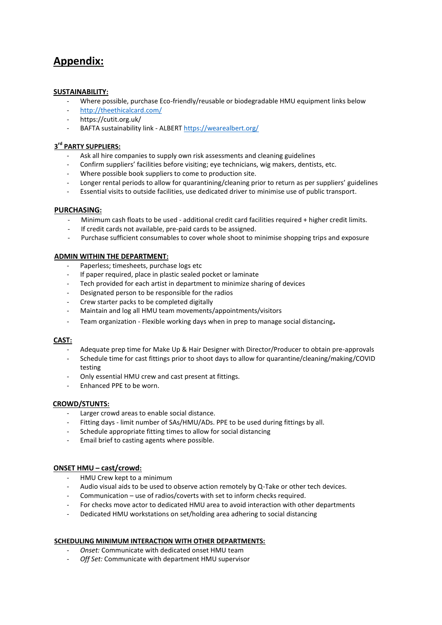# **Appendix:**

#### **SUSTAINABILITY:**

- Where possible, purchase Eco-friendly/reusable or biodegradable HMU equipment links below
- <http://theethicalcard.com/>
- https://cutit.org.uk/
- BAFTA sustainability link ALBER[T https://wearealbert.org/](https://wearealbert.org/)

## **3 rd PARTY SUPPLIERS:**

- Ask all hire companies to supply own risk assessments and cleaning guidelines
- Confirm suppliers' facilities before visiting; eye technicians, wig makers, dentists, etc.
- Where possible book suppliers to come to production site.
- Longer rental periods to allow for quarantining/cleaning prior to return as per suppliers' guidelines
- Essential visits to outside facilities, use dedicated driver to minimise use of public transport.

#### **PURCHASING:**

- Minimum cash floats to be used additional credit card facilities required + higher credit limits.
- If credit cards not available, pre-paid cards to be assigned.
- Purchase sufficient consumables to cover whole shoot to minimise shopping trips and exposure

#### **ADMIN WITHIN THE DEPARTMENT:**

- Paperless; timesheets, purchase logs etc
- If paper required, place in plastic sealed pocket or laminate
- Tech provided for each artist in department to minimize sharing of devices
- Designated person to be responsible for the radios
- Crew starter packs to be completed digitally
- Maintain and log all HMU team movements/appointments/visitors
- Team organization Flexible working days when in prep to manage social distancing**.**

#### **CAST:**

- Adequate prep time for Make Up & Hair Designer with Director/Producer to obtain pre-approvals
- Schedule time for cast fittings prior to shoot days to allow for quarantine/cleaning/making/COVID testing
- Only essential HMU crew and cast present at fittings.
- Enhanced PPE to be worn.

#### **CROWD/STUNTS:**

- Larger crowd areas to enable social distance.
- Fitting days limit number of SAs/HMU/ADs. PPE to be used during fittings by all.
- Schedule appropriate fitting times to allow for social distancing
- Email brief to casting agents where possible.

#### **ONSET HMU – cast/crowd:**

- HMU Crew kept to a minimum
- Audio visual aids to be used to observe action remotely by Q-Take or other tech devices.
- Communication use of radios/coverts with set to inform checks required.
- For checks move actor to dedicated HMU area to avoid interaction with other departments
- Dedicated HMU workstations on set/holding area adhering to social distancing

#### **SCHEDULING MINIMUM INTERACTION WITH OTHER DEPARTMENTS:**

- *Onset:* Communicate with dedicated onset HMU team
- Off Set: Communicate with department HMU supervisor